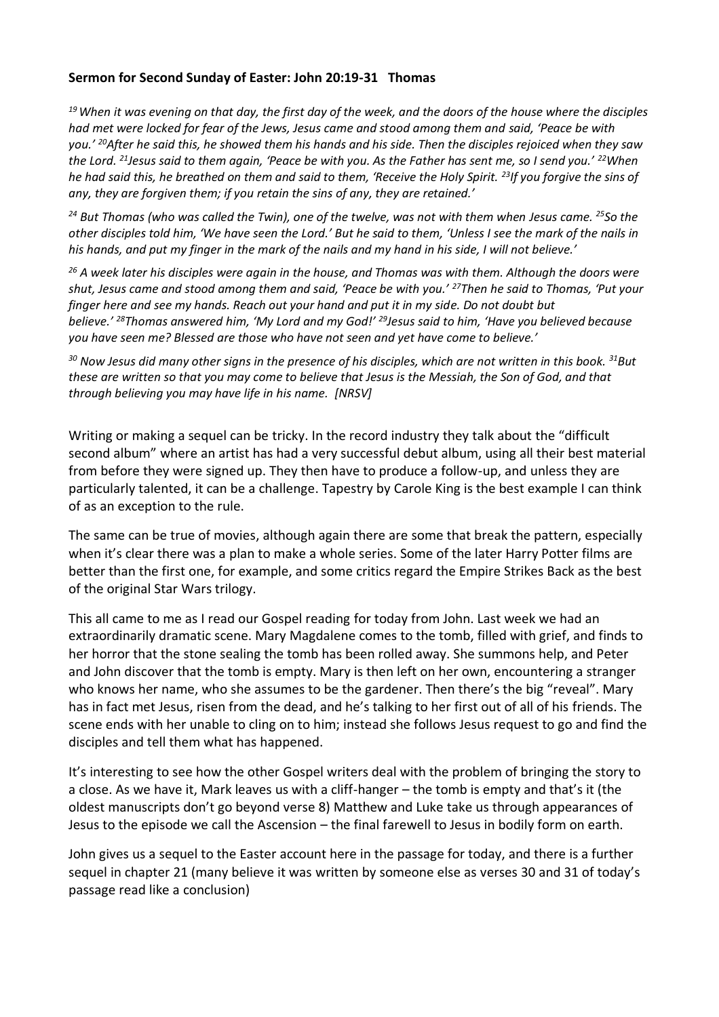## **Sermon for Second Sunday of Easter: John 20:19-31 Thomas**

*<sup>19</sup>When it was evening on that day, the first day of the week, and the doors of the house where the disciples had met were locked for fear of the Jews, Jesus came and stood among them and said, 'Peace be with you.' <sup>20</sup>After he said this, he showed them his hands and his side. Then the disciples rejoiced when they saw the Lord. <sup>21</sup>Jesus said to them again, 'Peace be with you. As the Father has sent me, so I send you.' <sup>22</sup>When he had said this, he breathed on them and said to them, 'Receive the Holy Spirit. <sup>23</sup>If you forgive the sins of any, they are forgiven them; if you retain the sins of any, they are retained.'*

*<sup>24</sup> But Thomas (who was called the Twin), one of the twelve, was not with them when Jesus came. <sup>25</sup>So the other disciples told him, 'We have seen the Lord.' But he said to them, 'Unless I see the mark of the nails in his hands, and put my finger in the mark of the nails and my hand in his side, I will not believe.'*

*<sup>26</sup> A week later his disciples were again in the house, and Thomas was with them. Although the doors were shut, Jesus came and stood among them and said, 'Peace be with you.' <sup>27</sup>Then he said to Thomas, 'Put your finger here and see my hands. Reach out your hand and put it in my side. Do not doubt but believe.' <sup>28</sup>Thomas answered him, 'My Lord and my God!' <sup>29</sup>Jesus said to him, 'Have you believed because you have seen me? Blessed are those who have not seen and yet have come to believe.'*

*<sup>30</sup> Now Jesus did many other signs in the presence of his disciples, which are not written in this book. <sup>31</sup>But these are written so that you may come to believe that Jesus is the Messiah, the Son of God, and that through believing you may have life in his name. [NRSV]*

Writing or making a sequel can be tricky. In the record industry they talk about the "difficult second album" where an artist has had a very successful debut album, using all their best material from before they were signed up. They then have to produce a follow-up, and unless they are particularly talented, it can be a challenge. Tapestry by Carole King is the best example I can think of as an exception to the rule.

The same can be true of movies, although again there are some that break the pattern, especially when it's clear there was a plan to make a whole series. Some of the later Harry Potter films are better than the first one, for example, and some critics regard the Empire Strikes Back as the best of the original Star Wars trilogy.

This all came to me as I read our Gospel reading for today from John. Last week we had an extraordinarily dramatic scene. Mary Magdalene comes to the tomb, filled with grief, and finds to her horror that the stone sealing the tomb has been rolled away. She summons help, and Peter and John discover that the tomb is empty. Mary is then left on her own, encountering a stranger who knows her name, who she assumes to be the gardener. Then there's the big "reveal". Mary has in fact met Jesus, risen from the dead, and he's talking to her first out of all of his friends. The scene ends with her unable to cling on to him; instead she follows Jesus request to go and find the disciples and tell them what has happened.

It's interesting to see how the other Gospel writers deal with the problem of bringing the story to a close. As we have it, Mark leaves us with a cliff-hanger – the tomb is empty and that's it (the oldest manuscripts don't go beyond verse 8) Matthew and Luke take us through appearances of Jesus to the episode we call the Ascension – the final farewell to Jesus in bodily form on earth.

John gives us a sequel to the Easter account here in the passage for today, and there is a further sequel in chapter 21 (many believe it was written by someone else as verses 30 and 31 of today's passage read like a conclusion)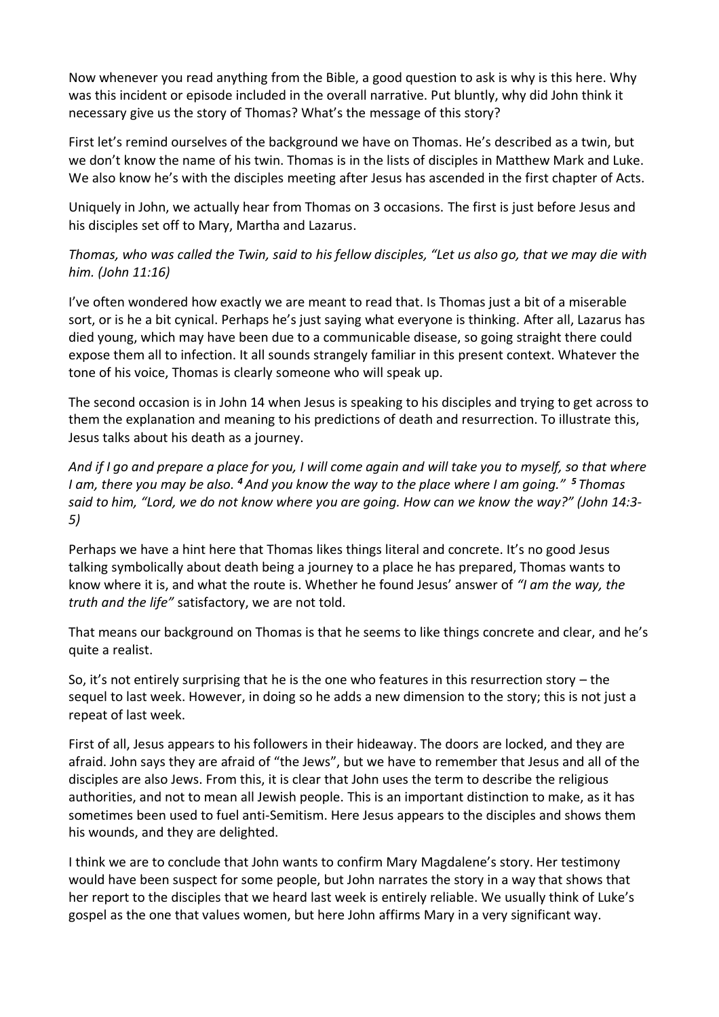Now whenever you read anything from the Bible, a good question to ask is why is this here. Why was this incident or episode included in the overall narrative. Put bluntly, why did John think it necessary give us the story of Thomas? What's the message of this story?

First let's remind ourselves of the background we have on Thomas. He's described as a twin, but we don't know the name of his twin. Thomas is in the lists of disciples in Matthew Mark and Luke. We also know he's with the disciples meeting after Jesus has ascended in the first chapter of Acts.

Uniquely in John, we actually hear from Thomas on 3 occasions. The first is just before Jesus and his disciples set off to Mary, Martha and Lazarus.

*Thomas, who was called the Twin, said to his fellow disciples, "Let us also go, that we may die with him. (John 11:16)*

I've often wondered how exactly we are meant to read that. Is Thomas just a bit of a miserable sort, or is he a bit cynical. Perhaps he's just saying what everyone is thinking. After all, Lazarus has died young, which may have been due to a communicable disease, so going straight there could expose them all to infection. It all sounds strangely familiar in this present context. Whatever the tone of his voice, Thomas is clearly someone who will speak up.

The second occasion is in John 14 when Jesus is speaking to his disciples and trying to get across to them the explanation and meaning to his predictions of death and resurrection. To illustrate this, Jesus talks about his death as a journey.

*And if I go and prepare a place for you, I will come again and will take you to myself, so that where I am, there you may be also. <sup>4</sup>And you know the way to the place where I am going." <sup>5</sup> Thomas said to him, "Lord, we do not know where you are going. How can we know the way?" (John 14:3- 5)*

Perhaps we have a hint here that Thomas likes things literal and concrete. It's no good Jesus talking symbolically about death being a journey to a place he has prepared, Thomas wants to know where it is, and what the route is. Whether he found Jesus' answer of *"I am the way, the truth and the life"* satisfactory, we are not told.

That means our background on Thomas is that he seems to like things concrete and clear, and he's quite a realist.

So, it's not entirely surprising that he is the one who features in this resurrection story – the sequel to last week. However, in doing so he adds a new dimension to the story; this is not just a repeat of last week.

First of all, Jesus appears to his followers in their hideaway. The doors are locked, and they are afraid. John says they are afraid of "the Jews", but we have to remember that Jesus and all of the disciples are also Jews. From this, it is clear that John uses the term to describe the religious authorities, and not to mean all Jewish people. This is an important distinction to make, as it has sometimes been used to fuel anti-Semitism. Here Jesus appears to the disciples and shows them his wounds, and they are delighted.

I think we are to conclude that John wants to confirm Mary Magdalene's story. Her testimony would have been suspect for some people, but John narrates the story in a way that shows that her report to the disciples that we heard last week is entirely reliable. We usually think of Luke's gospel as the one that values women, but here John affirms Mary in a very significant way.